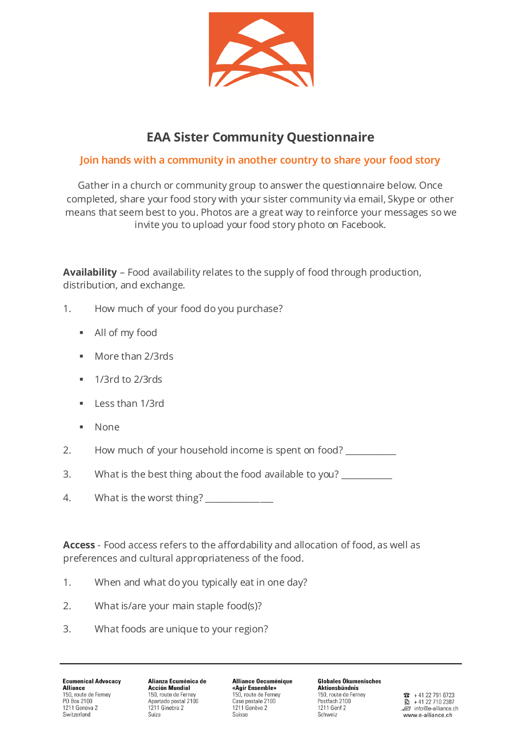

## **EAA Sister Community Questionnaire**

## **Join hands with a community in another country to share your food story**

Gather in a church or community group to answer the questionnaire below. Once completed, share your food story with your sister community via email, Skype or other means that seem best to you. Photos are a great way to reinforce your messages so we invite you to upload your food story photo on Facebook.

**Availability** – Food availability relates to the supply of food through production, distribution, and exchange.

- 1. How much of your food do you purchase?
	- All of my food
	- **More than 2/3rds**
	- $\blacksquare$  1/3rd to 2/3rds
	- **Less than 1/3rd**
	- None
- 2. How much of your household income is spent on food?
- 3. What is the best thing about the food available to you?
- 4. What is the worst thing?

**Access** - Food access refers to the affordability and allocation of food, as well as preferences and cultural appropriateness of the food.

- 1. When and what do you typically eat in one day?
- 2. What is/are your main staple food(s)?
- 3. What foods are unique to your region?

**Ecumenical Advocacy Alliance** 150, route de Ferney PO Box 2100 1211 Geneva 2 Switzerland

Alianza Ecuménica de **Acción Mundial** 150, route de Ferney Apartado postal 2100 1211 Ginebra 2 Suiza

**Alliance Oecuménique** «Agir Ensemble» 150, route de Ferney Case postale 2100 1211 Genève 2 Suisse

**Globales Ökumenisches Aktionsbündnis** 150, route de Fernev Postfach 2100 1211 Genf 2 Schweiz

 $\bullet$  +41 22 791 6723 € +41 22 710 2387  $\mathbb{F}$  info@e-alliance.ch www.e-alliance.ch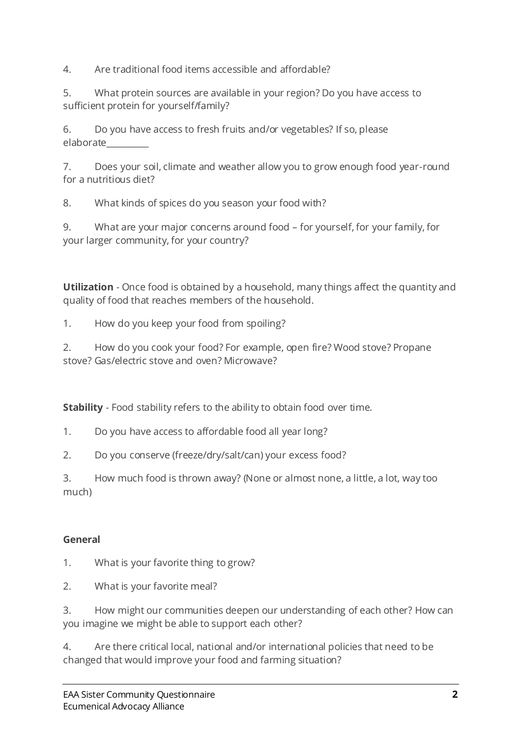4. Are traditional food items accessible and affordable?

5. What protein sources are available in your region? Do you have access to sufficient protein for yourself/family?

6. Do you have access to fresh fruits and/or vegetables? If so, please elaborate\_\_\_\_\_\_\_\_\_\_

7. Does your soil, climate and weather allow you to grow enough food year-round for a nutritious diet?

8. What kinds of spices do you season your food with?

9. What are your major concerns around food – for yourself, for your family, for your larger community, for your country?

**Utilization** - Once food is obtained by a household, many things affect the quantity and quality of food that reaches members of the household.

1. How do you keep your food from spoiling?

2. How do you cook your food? For example, open fire? Wood stove? Propane stove? Gas/electric stove and oven? Microwave?

**Stability** - Food stability refers to the ability to obtain food over time.

1. Do you have access to affordable food all year long?

2. Do you conserve (freeze/dry/salt/can) your excess food?

3. How much food is thrown away? (None or almost none, a little, a lot, way too much)

## **General**

- 1. What is your favorite thing to grow?
- 2. What is your favorite meal?

3. How might our communities deepen our understanding of each other? How can you imagine we might be able to support each other?

4. Are there critical local, national and/or international policies that need to be changed that would improve your food and farming situation?